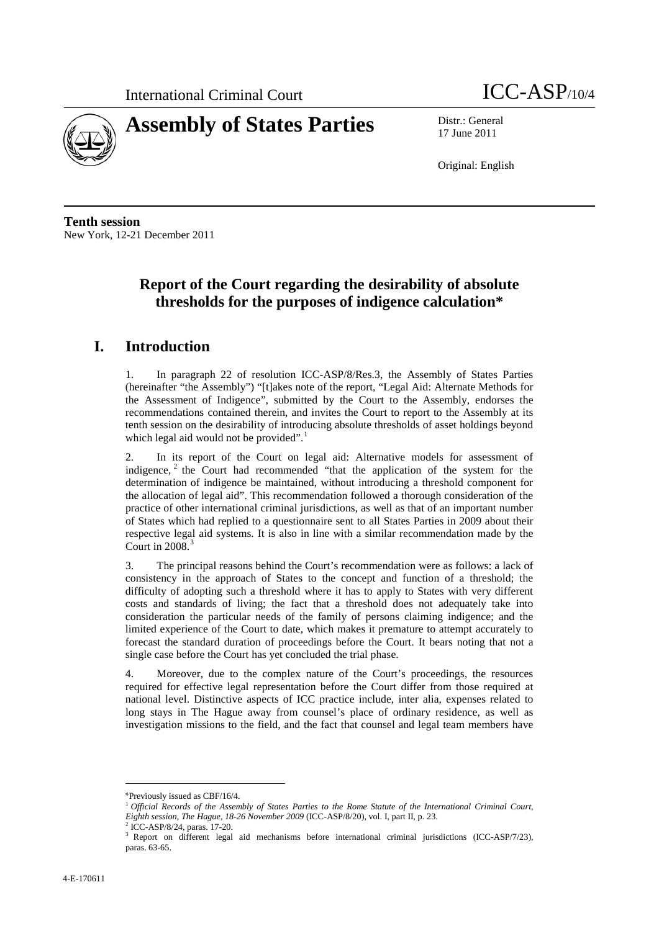



17 June 2011

Original: English

**Tenth session** New York, 12-21 December 2011

# **Report of the Court regarding the desirability of absolute thresholds for the purposes of indigence calculation\***

## **I. Introduction**

1. In paragraph 22 of resolution ICC-ASP/8/Res.3, the Assembly of States Parties (hereinafter "the Assembly") "[t]akes note of the report, "Legal Aid: Alternate Methods for the Assessment of Indigence", submitted by the Court to the Assembly, endorses the recommendations contained therein, and invites the Court to report to the Assembly at its tenth session on the desirability of introducing absolute thresholds of asset holdings beyond which legal aid would not be provided".<sup>[1](#page-0-0)</sup>

2. In its report of the Court on legal aid: Alternative models for assessment of indigence,  $2$  the Court had recommended "that the application of the system for the determination of indigence be maintained, without introducing a threshold component for the allocation of legal aid". This recommendation followed a thorough consideration of the practice of other international criminal jurisdictions, as well as that of an important number of States which had replied to a questionnaire sent to all States Parties in 2009 about their respective legal aid systems. It is also in line with a similar recommendation made by the Court in  $2008.<sup>3</sup>$  $2008.<sup>3</sup>$  $2008.<sup>3</sup>$ 

3. The principal reasons behind the Court's recommendation were as follows: a lack of consistency in the approach of States to the concept and function of a threshold; the difficulty of adopting such a threshold where it has to apply to States with very different costs and standards of living; the fact that a threshold does not adequately take into consideration the particular needs of the family of persons claiming indigence; and the limited experience of the Court to date, which makes it premature to attempt accurately to forecast the standard duration of proceedings before the Court. It bears noting that not a single case before the Court has yet concluded the trial phase.

4. Moreover, due to the complex nature of the Court's proceedings, the resources required for effective legal representation before the Court differ from those required at national level. Distinctive aspects of ICC practice include, inter alia, expenses related to long stays in The Hague away from counsel's place of ordinary residence, as well as investigation missions to the field, and the fact that counsel and legal team members have

 $\overline{a}$ 

<span id="page-0-1"></span><sup>2</sup> ICC-ASP/8/24, paras. 17-20.

<span id="page-0-0"></span><sup>\*</sup>Previously issued as CBF/16/4.

<sup>1</sup> *Official Records of the Assembly of States Parties to the Rome Statute of the International Criminal Court, Eighth session, The Hague, 18-26 November 2009* (ICC-ASP/8/20), vol. I, part II, p. 23.

<span id="page-0-2"></span><sup>3</sup> Report on different legal aid mechanisms before international criminal jurisdictions (ICC-ASP/7/23), paras. 63-65.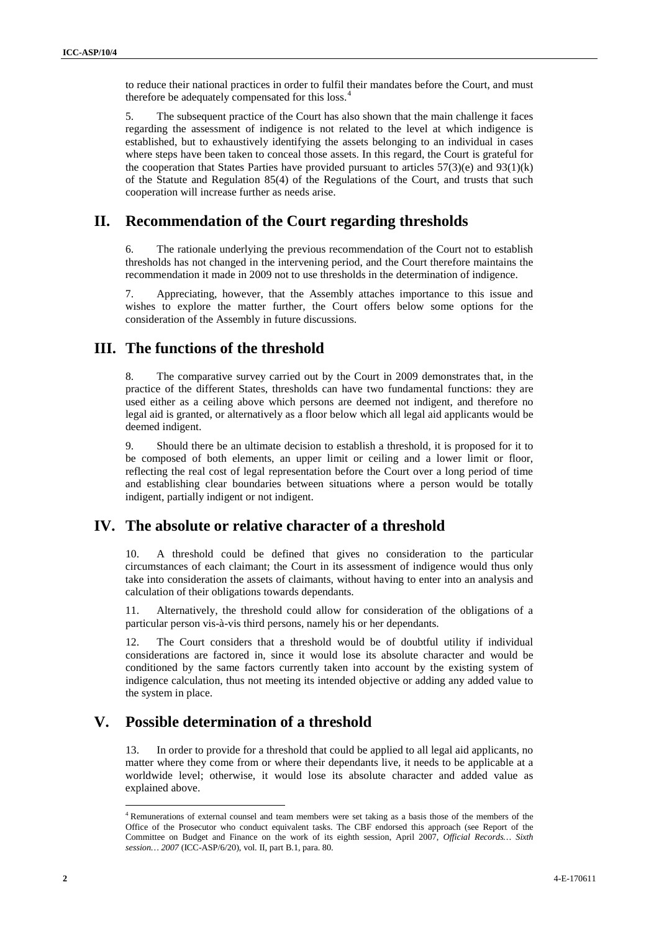to reduce their national practices in order to fulfil their mandates before the Court, and must therefore be adequately compensated for this loss.<sup>[4](#page-1-0)</sup>

5. The subsequent practice of the Court has also shown that the main challenge it faces regarding the assessment of indigence is not related to the level at which indigence is established, but to exhaustively identifying the assets belonging to an individual in cases where steps have been taken to conceal those assets. In this regard, the Court is grateful for the cooperation that States Parties have provided pursuant to articles  $57(3)(e)$  and  $93(1)(k)$ of the Statute and Regulation 85(4) of the Regulations of the Court, and trusts that such cooperation will increase further as needs arise.

## **II. Recommendation of the Court regarding thresholds**

6. The rationale underlying the previous recommendation of the Court not to establish thresholds has not changed in the intervening period, and the Court therefore maintains the recommendation it made in 2009 not to use thresholds in the determination of indigence.

7. Appreciating, however, that the Assembly attaches importance to this issue and wishes to explore the matter further, the Court offers below some options for the consideration of the Assembly in future discussions.

## **III. The functions of the threshold**

8. The comparative survey carried out by the Court in 2009 demonstrates that, in the practice of the different States, thresholds can have two fundamental functions: they are used either as a ceiling above which persons are deemed not indigent, and therefore no legal aid is granted, or alternatively as a floor below which all legal aid applicants would be deemed indigent.

9. Should there be an ultimate decision to establish a threshold, it is proposed for it to be composed of both elements, an upper limit or ceiling and a lower limit or floor, reflecting the real cost of legal representation before the Court over a long period of time and establishing clear boundaries between situations where a person would be totally indigent, partially indigent or not indigent.

### **IV. The absolute or relative character of a threshold**

10. A threshold could be defined that gives no consideration to the particular circumstances of each claimant; the Court in its assessment of indigence would thus only take into consideration the assets of claimants, without having to enter into an analysis and calculation of their obligations towards dependants.

11. Alternatively, the threshold could allow for consideration of the obligations of a particular person vis-à-vis third persons, namely his or her dependants.

12. The Court considers that a threshold would be of doubtful utility if individual considerations are factored in, since it would lose its absolute character and would be conditioned by the same factors currently taken into account by the existing system of indigence calculation, thus not meeting its intended objective or adding any added value to the system in place.

# **V. Possible determination of a threshold**

13. In order to provide for a threshold that could be applied to all legal aid applicants, no matter where they come from or where their dependants live, it needs to be applicable at a worldwide level; otherwise, it would lose its absolute character and added value as explained above.

<span id="page-1-0"></span> <sup>4</sup> Remunerations of external counsel and team members were set taking as a basis those of the members of the Office of the Prosecutor who conduct equivalent tasks. The CBF endorsed this approach (see Report of the Committee on Budget and Finance on the work of its eighth session, April 2007, *Official Records… Sixth session… 2007* (ICC-ASP/6/20), vol. II, part B.1, para. 80.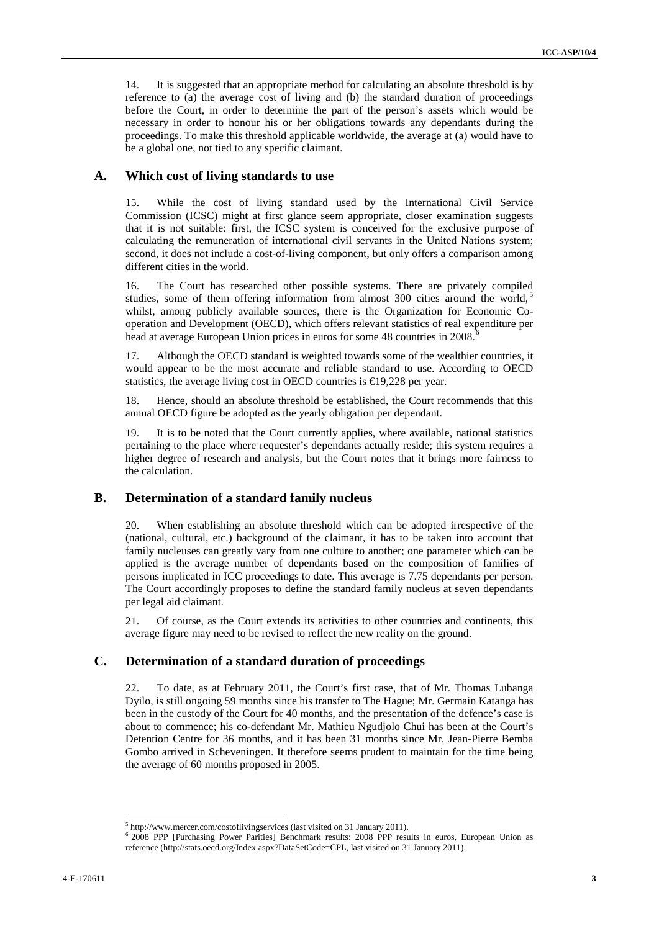14. It is suggested that an appropriate method for calculating an absolute threshold is by reference to (a) the average cost of living and (b) the standard duration of proceedings before the Court, in order to determine the part of the person's assets which would be necessary in order to honour his or her obligations towards any dependants during the proceedings. To make this threshold applicable worldwide, the average at (a) would have to be a global one, not tied to any specific claimant.

#### **A. Which cost of living standards to use**

15. While the cost of living standard used by the International Civil Service Commission (ICSC) might at first glance seem appropriate, closer examination suggests that it is not suitable: first, the ICSC system is conceived for the exclusive purpose of calculating the remuneration of international civil servants in the United Nations system; second, it does not include a cost-of-living component, but only offers a comparison among different cities in the world.

16. The Court has researched other possible systems. There are privately compiled studies, some of them offering information from almost 300 cities around the world,<sup>[5](#page-2-0)</sup> whilst, among publicly available sources, there is the Organization for Economic Cooperation and Development (OECD), which offers relevant statistics of real expenditure per head at average European Union prices in euros for some 48 countries in 2008. [6](#page-2-1)

17. Although the OECD standard is weighted towards some of the wealthier countries, it would appear to be the most accurate and reliable standard to use. According to OECD statistics, the average living cost in OECD countries is €19,228 per year.

18. Hence, should an absolute threshold be established, the Court recommends that this annual OECD figure be adopted as the yearly obligation per dependant.

19. It is to be noted that the Court currently applies, where available, national statistics pertaining to the place where requester's dependants actually reside; this system requires a higher degree of research and analysis, but the Court notes that it brings more fairness to the calculation.

### **B. Determination of a standard family nucleus**

20. When establishing an absolute threshold which can be adopted irrespective of the (national, cultural, etc.) background of the claimant, it has to be taken into account that family nucleuses can greatly vary from one culture to another; one parameter which can be applied is the average number of dependants based on the composition of families of persons implicated in ICC proceedings to date. This average is 7.75 dependants per person. The Court accordingly proposes to define the standard family nucleus at seven dependants per legal aid claimant.

21. Of course, as the Court extends its activities to other countries and continents, this average figure may need to be revised to reflect the new reality on the ground.

### **C. Determination of a standard duration of proceedings**

22. To date, as at February 2011, the Court's first case, that of Mr. Thomas Lubanga Dyilo, is still ongoing 59 months since his transfer to The Hague; Mr. Germain Katanga has been in the custody of the Court for 40 months, and the presentation of the defence's case is about to commence; his co-defendant Mr. Mathieu Ngudjolo Chui has been at the Court's Detention Centre for 36 months, and it has been 31 months since Mr. Jean-Pierre Bemba Gombo arrived in Scheveningen. It therefore seems prudent to maintain for the time being the average of 60 months proposed in 2005.

 <sup>5</sup> http://www.mercer.com/costoflivingservices (last visited on 31 January 2011).

<span id="page-2-1"></span><span id="page-2-0"></span><sup>6</sup> 2008 PPP [Purchasing Power Parities] Benchmark results: 2008 PPP results in euros, European Union as reference (http://stats.oecd.org/Index.aspx?DataSetCode=CPL, last visited on 31 January 2011).